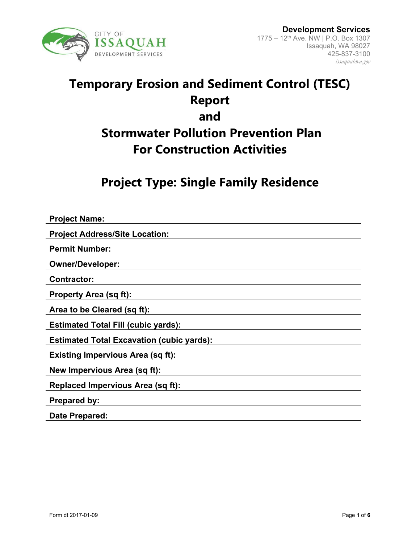

# **Temporary Erosion and Sediment Control (TESC) Report and Stormwater Pollution Prevention Plan For Construction Activities**

**Project Type: Single Family Residence**

| <b>Project Name:</b>                             |
|--------------------------------------------------|
| <b>Project Address/Site Location:</b>            |
| <b>Permit Number:</b>                            |
| <b>Owner/Developer:</b>                          |
| <b>Contractor:</b>                               |
| <b>Property Area (sq ft):</b>                    |
| Area to be Cleared (sq ft):                      |
| <b>Estimated Total Fill (cubic yards):</b>       |
| <b>Estimated Total Excavation (cubic yards):</b> |
| <b>Existing Impervious Area (sq ft):</b>         |
| New Impervious Area (sq ft):                     |
| <b>Replaced Impervious Area (sq ft):</b>         |
| <b>Prepared by:</b>                              |
| Date Prepared:                                   |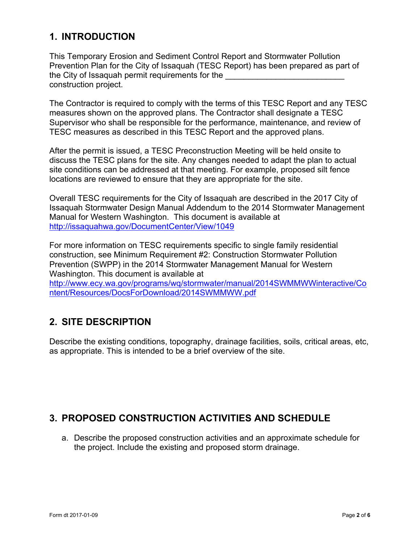# **1. INTRODUCTION**

This Temporary Erosion and Sediment Control Report and Stormwater Pollution Prevention Plan for the City of Issaquah (TESC Report) has been prepared as part of the City of Issaquah permit requirements for the construction project.

The Contractor is required to comply with the terms of this TESC Report and any TESC measures shown on the approved plans. The Contractor shall designate a TESC Supervisor who shall be responsible for the performance, maintenance, and review of TESC measures as described in this TESC Report and the approved plans.

After the permit is issued, a TESC Preconstruction Meeting will be held onsite to discuss the TESC plans for the site. Any changes needed to adapt the plan to actual site conditions can be addressed at that meeting. For example, proposed silt fence locations are reviewed to ensure that they are appropriate for the site.

Overall TESC requirements for the City of Issaquah are described in the 2017 City of Issaquah Stormwater Design Manual Addendum to the 2014 Stormwater Management Manual for Western Washington. This document is available at <http://issaquahwa.gov/DocumentCenter/View/1049>

For more information on TESC requirements specific to single family residential construction, see Minimum Requirement #2: Construction Stormwater Pollution Prevention (SWPP) in the 2014 Stormwater Management Manual for Western Washington. This document is available at [http://www.ecy.wa.gov/programs/wq/stormwater/manual/2014SWMMWWinteractive/Co](http://www.ecy.wa.gov/programs/wq/stormwater/manual/2014SWMMWWinteractive/Content/Resources/DocsForDownload/2014SWMMWW.pdf) [ntent/Resources/DocsForDownload/2014SWMMWW.pdf](http://www.ecy.wa.gov/programs/wq/stormwater/manual/2014SWMMWWinteractive/Content/Resources/DocsForDownload/2014SWMMWW.pdf)

## **2. SITE DESCRIPTION**

Describe the existing conditions, topography, drainage facilities, soils, critical areas, etc, as appropriate. This is intended to be a brief overview of the site.

### **3. PROPOSED CONSTRUCTION ACTIVITIES AND SCHEDULE**

a. Describe the proposed construction activities and an approximate schedule for the project. Include the existing and proposed storm drainage.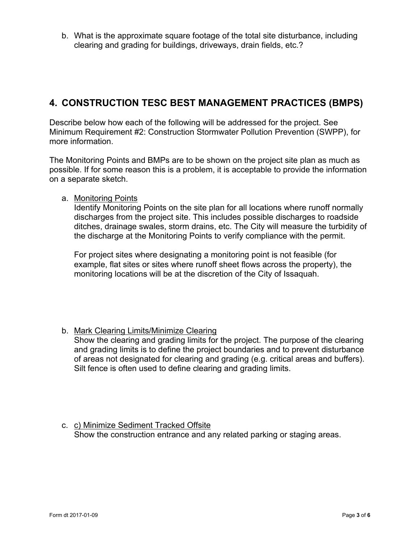b. What is the approximate square footage of the total site disturbance, including clearing and grading for buildings, driveways, drain fields, etc.?

### **4. CONSTRUCTION TESC BEST MANAGEMENT PRACTICES (BMPS)**

Describe below how each of the following will be addressed for the project. See Minimum Requirement #2: Construction Stormwater Pollution Prevention (SWPP), for more information.

The Monitoring Points and BMPs are to be shown on the project site plan as much as possible. If for some reason this is a problem, it is acceptable to provide the information on a separate sketch.

a. Monitoring Points

Identify Monitoring Points on the site plan for all locations where runoff normally discharges from the project site. This includes possible discharges to roadside ditches, drainage swales, storm drains, etc. The City will measure the turbidity of the discharge at the Monitoring Points to verify compliance with the permit.

For project sites where designating a monitoring point is not feasible (for example, flat sites or sites where runoff sheet flows across the property), the monitoring locations will be at the discretion of the City of Issaquah.

b. Mark Clearing Limits/Minimize Clearing

Show the clearing and grading limits for the project. The purpose of the clearing and grading limits is to define the project boundaries and to prevent disturbance of areas not designated for clearing and grading (e.g. critical areas and buffers). Silt fence is often used to define clearing and grading limits.

c. c) Minimize Sediment Tracked Offsite Show the construction entrance and any related parking or staging areas.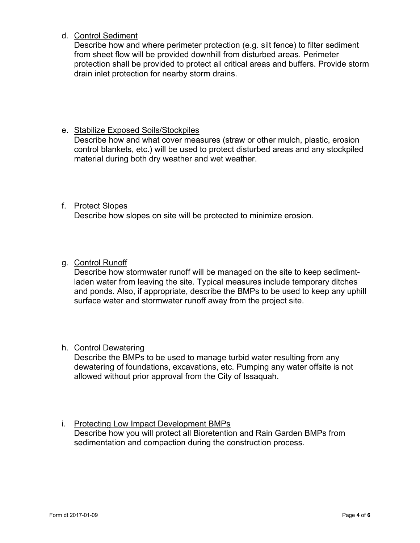d. Control Sediment

Describe how and where perimeter protection (e.g. silt fence) to filter sediment from sheet flow will be provided downhill from disturbed areas. Perimeter protection shall be provided to protect all critical areas and buffers. Provide storm drain inlet protection for nearby storm drains.

#### e. Stabilize Exposed Soils/Stockpiles

Describe how and what cover measures (straw or other mulch, plastic, erosion control blankets, etc.) will be used to protect disturbed areas and any stockpiled material during both dry weather and wet weather.

#### f. Protect Slopes

Describe how slopes on site will be protected to minimize erosion.

#### g. Control Runoff

Describe how stormwater runoff will be managed on the site to keep sedimentladen water from leaving the site. Typical measures include temporary ditches and ponds. Also, if appropriate, describe the BMPs to be used to keep any uphill surface water and stormwater runoff away from the project site.

#### h. Control Dewatering

Describe the BMPs to be used to manage turbid water resulting from any dewatering of foundations, excavations, etc. Pumping any water offsite is not allowed without prior approval from the City of Issaquah.

#### i. Protecting Low Impact Development BMPs

Describe how you will protect all Bioretention and Rain Garden BMPs from sedimentation and compaction during the construction process.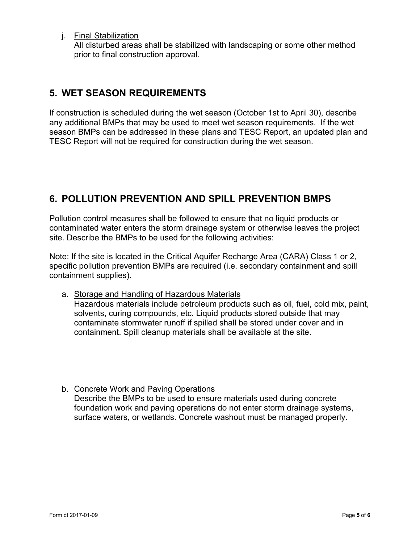j. Final Stabilization

All disturbed areas shall be stabilized with landscaping or some other method prior to final construction approval.

### **5. WET SEASON REQUIREMENTS**

If construction is scheduled during the wet season (October 1st to April 30), describe any additional BMPs that may be used to meet wet season requirements. If the wet season BMPs can be addressed in these plans and TESC Report, an updated plan and TESC Report will not be required for construction during the wet season.

## **6. POLLUTION PREVENTION AND SPILL PREVENTION BMPS**

Pollution control measures shall be followed to ensure that no liquid products or contaminated water enters the storm drainage system or otherwise leaves the project site. Describe the BMPs to be used for the following activities:

Note: If the site is located in the Critical Aquifer Recharge Area (CARA) Class 1 or 2, specific pollution prevention BMPs are required (i.e. secondary containment and spill containment supplies).

- a. Storage and Handling of Hazardous Materials Hazardous materials include petroleum products such as oil, fuel, cold mix, paint, solvents, curing compounds, etc. Liquid products stored outside that may contaminate stormwater runoff if spilled shall be stored under cover and in containment. Spill cleanup materials shall be available at the site.
- b. Concrete Work and Paving Operations Describe the BMPs to be used to ensure materials used during concrete foundation work and paving operations do not enter storm drainage systems, surface waters, or wetlands. Concrete washout must be managed properly.